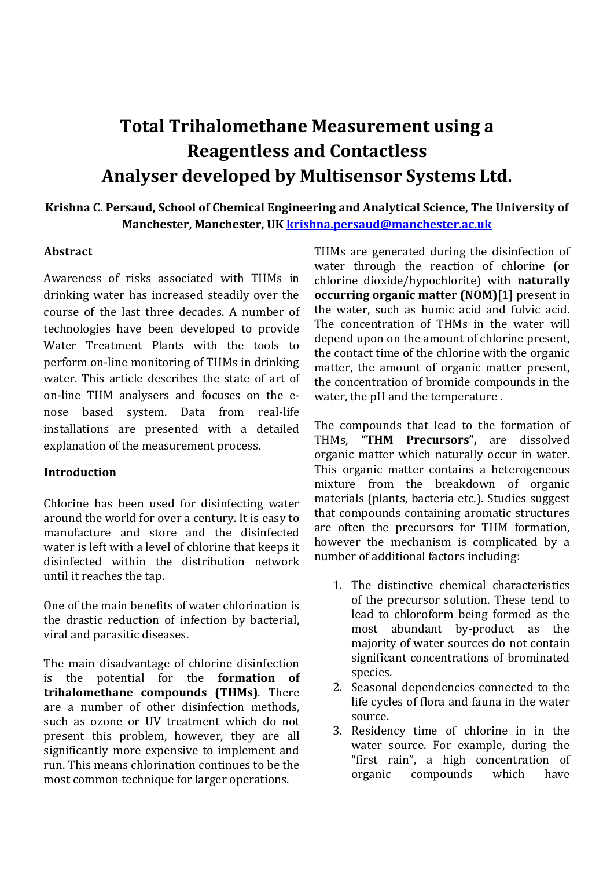# **Total Trihalomethane Measurement using a Reagentless and Contactless Analyser developed by Multisensor Systems Ltd.**

## **Krishna C. Persaud, School of Chemical Engineering and Analytical Science, The University of Manchester, Manchester, UK [krishna.persaud@manchester.ac.uk](mailto:krishna.persaud@manchester.ac.uk)**

#### **Abstract**

Awareness of risks associated with THMs in drinking water has increased steadily over the course of the last three decades. A number of technologies have been developed to provide Water Treatment Plants with the tools to perform on-line monitoring of THMs in drinking water. This article describes the state of art of on-line THM analysers and focuses on the enose based system. Data from real-life installations are presented with a detailed explanation of the measurement process.

#### **Introduction**

Chlorine has been used for disinfecting water around the world for over a century. It is easy to manufacture and store and the disinfected water is left with a level of chlorine that keeps it disinfected within the distribution network until it reaches the tap.

One of the main benefits of water chlorination is the drastic reduction of infection by bacterial, viral and parasitic diseases.

The main disadvantage of chlorine disinfection is the potential for the **formation of trihalomethane compounds (THMs)**. There are a number of other disinfection methods, such as ozone or UV treatment which do not present this problem, however, they are all significantly more expensive to implement and run. This means chlorination continues to be the most common technique for larger operations.

THMs are generated during the disinfection of water through the reaction of chlorine (or chlorine dioxide/hypochlorite) with **naturally occurring organic matter (NOM)**[1] present in the water, such as humic acid and fulvic acid. The concentration of THMs in the water will depend upon on the amount of chlorine present, the contact time of the chlorine with the organic matter, the amount of organic matter present, the concentration of bromide compounds in the water, the pH and the temperature .

The compounds that lead to the formation of THMs, **"THM Precursors",** are dissolved organic matter which naturally occur in water. This organic matter contains a heterogeneous mixture from the breakdown of organic materials (plants, bacteria etc.). Studies suggest that compounds containing aromatic structures are often the precursors for THM formation, however the mechanism is complicated by a number of additional factors including:

- 1. The distinctive chemical characteristics of the precursor solution. These tend to lead to chloroform being formed as the most abundant by-product as the majority of water sources do not contain significant concentrations of brominated species.
- 2. Seasonal dependencies connected to the life cycles of flora and fauna in the water source.
- 3. Residency time of chlorine in in the water source. For example, during the "first rain", a high concentration of organic compounds which have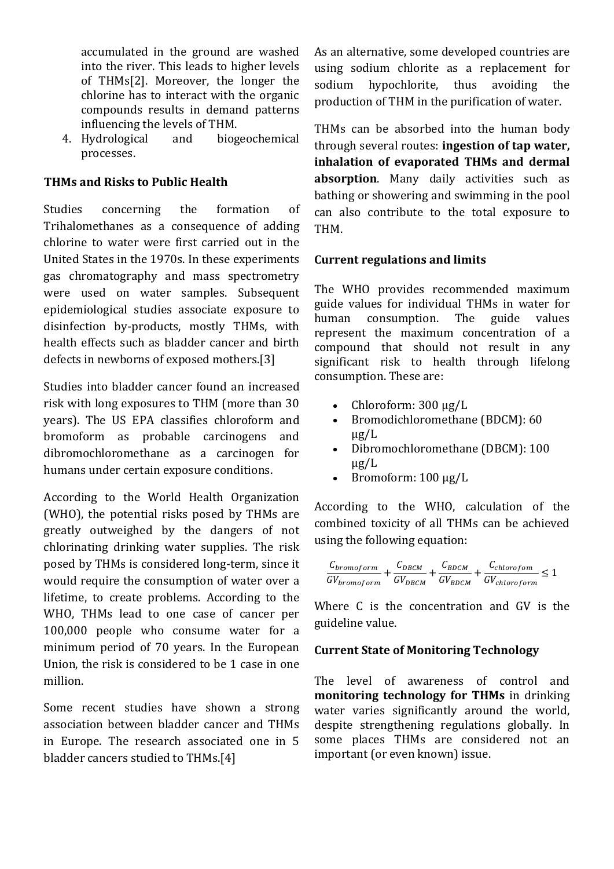accumulated in the ground are washed into the river. This leads to higher levels of THMs[2]. Moreover, the longer the chlorine has to interact with the organic compounds results in demand patterns influencing the levels of THM.

4. Hydrological and biogeochemical processes.

#### **THMs and Risks to Public Health**

Studies concerning the formation of Trihalomethanes as a consequence of adding chlorine to water were first carried out in the United States in the 1970s. In these experiments gas chromatography and mass spectrometry were used on water samples. Subsequent epidemiological studies associate exposure to disinfection by-products, mostly THMs, with health effects such as bladder cancer and birth defects in newborns of exposed mothers.[3]

Studies into bladder cancer found an increased risk with long exposures to THM (more than 30 years). The US EPA classifies chloroform and bromoform as probable carcinogens and dibromochloromethane as a carcinogen for humans under certain exposure conditions.

According to the World Health Organization (WHO), the potential risks posed by THMs are greatly outweighed by the dangers of not chlorinating drinking water supplies. The risk posed by THMs is considered long-term, since it would require the consumption of water over a lifetime, to create problems. According to the WHO, THMs lead to one case of cancer per 100,000 people who consume water for a minimum period of 70 years. In the European Union, the risk is considered to be 1 case in one million.

Some recent studies have shown a strong association between bladder cancer and THMs in Europe. The research associated one in 5 bladder cancers studied to THMs.[4]

As an alternative, some developed countries are using sodium chlorite as a replacement for sodium hypochlorite, thus avoiding the production of THM in the purification of water.

THMs can be absorbed into the human body through several routes: **ingestion of tap water, inhalation of evaporated THMs and dermal absorption**. Many daily activities such as bathing or showering and swimming in the pool can also contribute to the total exposure to THM.

#### **Current regulations and limits**

The WHO provides recommended maximum guide values for individual THMs in water for human consumption. The guide values represent the maximum concentration of a compound that should not result in any significant risk to health through lifelong consumption. These are:

- Chloroform: 300 μg/L
- Bromodichloromethane (BDCM): 60 μg/L
- Dibromochloromethane (DBCM): 100 μg/L
- Bromoform: 100 μg/L

According to the WHO, calculation of the combined toxicity of all THMs can be achieved using the following equation:

$$
\frac{C_{bromoform}}{GV_{bromoform}} + \frac{C_{DBCM}}{GV_{DBCM}} + \frac{C_{BDCM}}{GV_{BDCM}} + \frac{C_{chlorofom}}{GV_{chloroform}} \leq 1
$$

Where C is the concentration and GV is the guideline value.

#### **Current State of Monitoring Technology**

The level of awareness of control and **monitoring technology for THMs** in drinking water varies significantly around the world, despite strengthening regulations globally. In some places THMs are considered not an important (or even known) issue.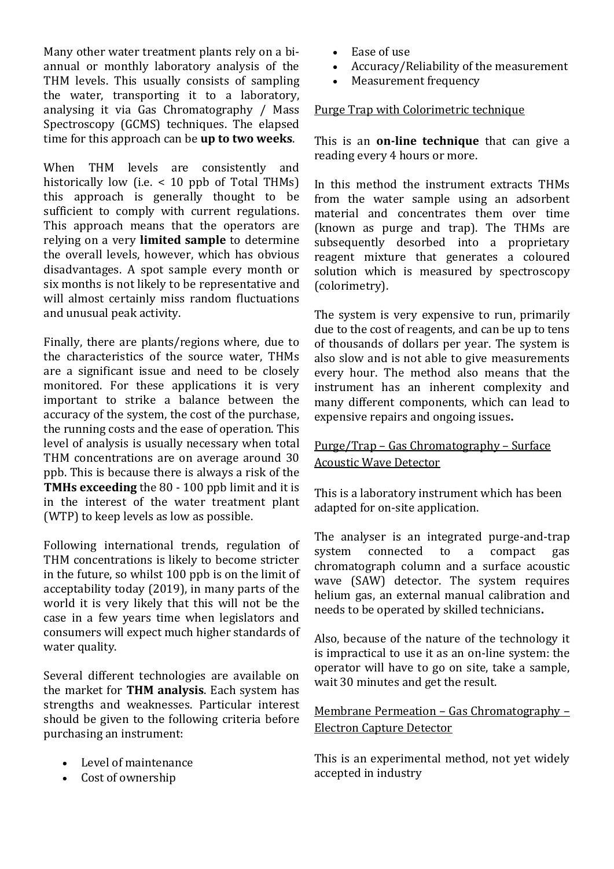Many other water treatment plants rely on a biannual or monthly laboratory analysis of the THM levels. This usually consists of sampling the water, transporting it to a laboratory, analysing it via Gas Chromatography / Mass Spectroscopy (GCMS) techniques. The elapsed time for this approach can be **up to two weeks**.

When THM levels are consistently and historically low (i.e.  $\leq$  10 ppb of Total THMs) this approach is generally thought to be sufficient to comply with current regulations. This approach means that the operators are relying on a very **limited sample** to determine the overall levels, however, which has obvious disadvantages. A spot sample every month or six months is not likely to be representative and will almost certainly miss random fluctuations and unusual peak activity.

Finally, there are plants/regions where, due to the characteristics of the source water, THMs are a significant issue and need to be closely monitored. For these applications it is very important to strike a balance between the accuracy of the system, the cost of the purchase, the running costs and the ease of operation. This level of analysis is usually necessary when total THM concentrations are on average around 30 ppb. This is because there is always a risk of the **TMHs exceeding** the 80 - 100 ppb limit and it is in the interest of the water treatment plant (WTP) to keep levels as low as possible.

Following international trends, regulation of THM concentrations is likely to become stricter in the future, so whilst 100 ppb is on the limit of acceptability today (2019), in many parts of the world it is very likely that this will not be the case in a few years time when legislators and consumers will expect much higher standards of water quality.

Several different technologies are available on the market for **THM analysis**. Each system has strengths and weaknesses. Particular interest should be given to the following criteria before purchasing an instrument:

- Level of maintenance
- Cost of ownership
- Ease of use
- Accuracy/Reliability of the measurement
- Measurement frequency

#### Purge Trap with Colorimetric technique

This is an **on-line technique** that can give a reading every 4 hours or more.

In this method the instrument extracts THMs from the water sample using an adsorbent material and concentrates them over time (known as purge and trap). The THMs are subsequently desorbed into a proprietary reagent mixture that generates a coloured solution which is measured by spectroscopy (colorimetry).

The system is very expensive to run, primarily due to the cost of reagents, and can be up to tens of thousands of dollars per year. The system is also slow and is not able to give measurements every hour. The method also means that the instrument has an inherent complexity and many different components, which can lead to expensive repairs and ongoing issues**.**

## Purge/Trap – Gas Chromatography – Surface Acoustic Wave Detector

This is a laboratory instrument which has been adapted for on-site application.

The analyser is an integrated purge-and-trap system connected to a compact gas chromatograph column and a surface acoustic wave (SAW) detector. The system requires helium gas, an external manual calibration and needs to be operated by skilled technicians**.**

Also, because of the nature of the technology it is impractical to use it as an on-line system: the operator will have to go on site, take a sample, wait 30 minutes and get the result.

## Membrane Permeation – Gas Chromatography – Electron Capture Detector

This is an experimental method, not yet widely accepted in industry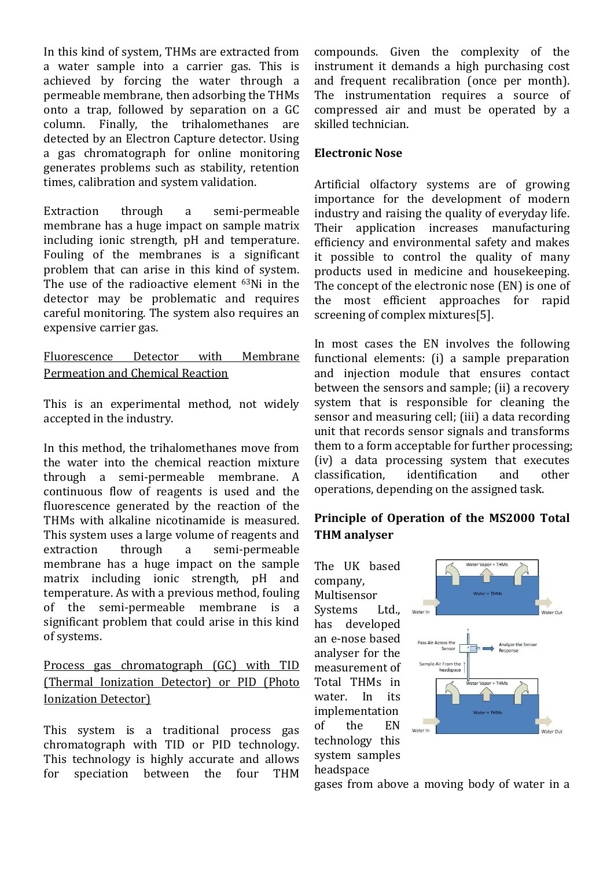In this kind of system, THMs are extracted from a water sample into a carrier gas. This is achieved by forcing the water through a permeable membrane, then adsorbing the THMs onto a trap, followed by separation on a GC column. Finally, the trihalomethanes are detected by an Electron Capture detector. Using a gas chromatograph for online monitoring generates problems such as stability, retention times, calibration and system validation.

Extraction through a semi-permeable membrane has a huge impact on sample matrix including ionic strength, pH and temperature. Fouling of the membranes is a significant problem that can arise in this kind of system. The use of the radioactive element 63Ni in the detector may be problematic and requires careful monitoring. The system also requires an expensive carrier gas.

Fluorescence Detector with Membrane Permeation and Chemical Reaction

This is an experimental method, not widely accepted in the industry.

In this method, the trihalomethanes move from the water into the chemical reaction mixture through a semi-permeable membrane. A continuous flow of reagents is used and the fluorescence generated by the reaction of the THMs with alkaline nicotinamide is measured. This system uses a large volume of reagents and extraction through a semi-permeable membrane has a huge impact on the sample matrix including ionic strength, pH and temperature. As with a previous method, fouling of the semi-permeable membrane is a significant problem that could arise in this kind of systems.

## Process gas chromatograph (GC) with TID (Thermal Ionization Detector) or PID (Photo Ionization Detector)

This system is a traditional process gas chromatograph with TID or PID technology. This technology is highly accurate and allows for speciation between the four THM compounds. Given the complexity of the instrument it demands a high purchasing cost and frequent recalibration (once per month). The instrumentation requires a source of compressed air and must be operated by a skilled technician.

## **Electronic Nose**

Artificial olfactory systems are of growing importance for the development of modern industry and raising the quality of everyday life. Their application increases manufacturing efficiency and environmental safety and makes it possible to control the quality of many products used in medicine and housekeeping. The concept of the electronic nose (EN) is one of the most efficient approaches for rapid screening of complex mixtures[5].

In most cases the EN involves the following functional elements: (i) a sample preparation and injection module that ensures contact between the sensors and sample; (ii) a recovery system that is responsible for cleaning the sensor and measuring cell; (iii) a data recording unit that records sensor signals and transforms them to a form acceptable for further processing; (iv) a data processing system that executes classification, identification and other operations, depending on the assigned task.

# **Principle of Operation of the MS2000 Total THM analyser**

The UK based company, Multisensor Systems Ltd., has developed an e-nose based analyser for the measurement of Total THMs in water. In its implementation of the EN technology this system samples headspace



gases from above a moving body of water in a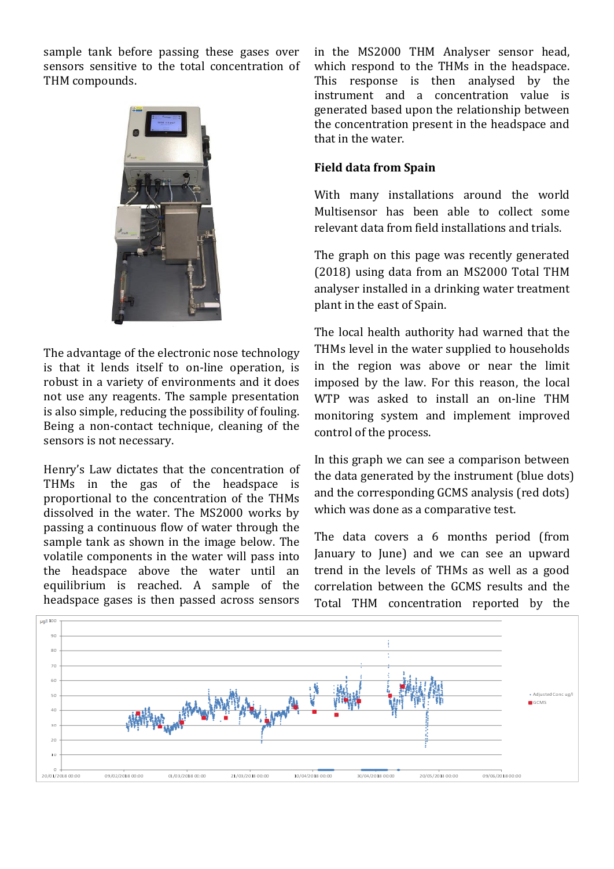sample tank before passing these gases over sensors sensitive to the total concentration of THM compounds.



The advantage of the electronic nose technology is that it lends itself to on-line operation, is robust in a variety of environments and it does not use any reagents. The sample presentation is also simple, reducing the possibility of fouling. Being a non-contact technique, cleaning of the sensors is not necessary.

Henry's Law dictates that the concentration of THMs in the gas of the headspace is proportional to the concentration of the THMs dissolved in the water. The MS2000 works by passing a continuous flow of water through the sample tank as shown in the image below. The volatile components in the water will pass into the headspace above the water until an equilibrium is reached. A sample of the headspace gases is then passed across sensors

in the MS2000 THM Analyser sensor head, which respond to the THMs in the headspace. This response is then analysed by the instrument and a concentration value is generated based upon the relationship between the concentration present in the headspace and that in the water.

#### **Field data from Spain**

With many installations around the world Multisensor has been able to collect some relevant data from field installations and trials.

The graph on this page was recently generated (2018) using data from an MS2000 Total THM analyser installed in a drinking water treatment plant in the east of Spain.

The local health authority had warned that the THMs level in the water supplied to households in the region was above or near the limit imposed by the law. For this reason, the local WTP was asked to install an on-line THM monitoring system and implement improved control of the process.

In this graph we can see a comparison between the data generated by the instrument (blue dots) and the corresponding GCMS analysis (red dots) which was done as a comparative test.

The data covers a 6 months period (from January to June) and we can see an upward trend in the levels of THMs as well as a good correlation between the GCMS results and the Total THM concentration reported by the